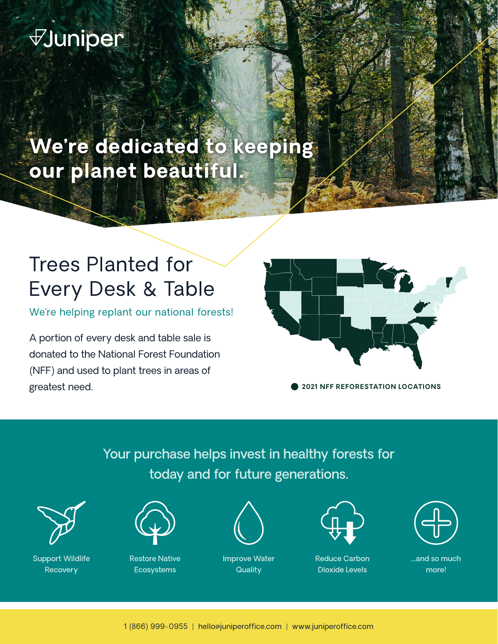# **Juniper**

**We're dedicated to keeping our planet beautiful.**

## Trees Planted for Every Desk & Table

We're helping replant our national forests!

A portion of every desk and table sale is donated to the National Forest Foundation (NFF) and used to plant trees in areas of greatest need.



**2021 NFF REFORESTATION LOCATIONS**

Your purchase helps invest in healthy forests for today and for future generations.



Support Wildlife **Recovery** 



Restore Native Ecosystems



Improve Water **Quality** 



Reduce Carbon Dioxide Levels



...and so much more!